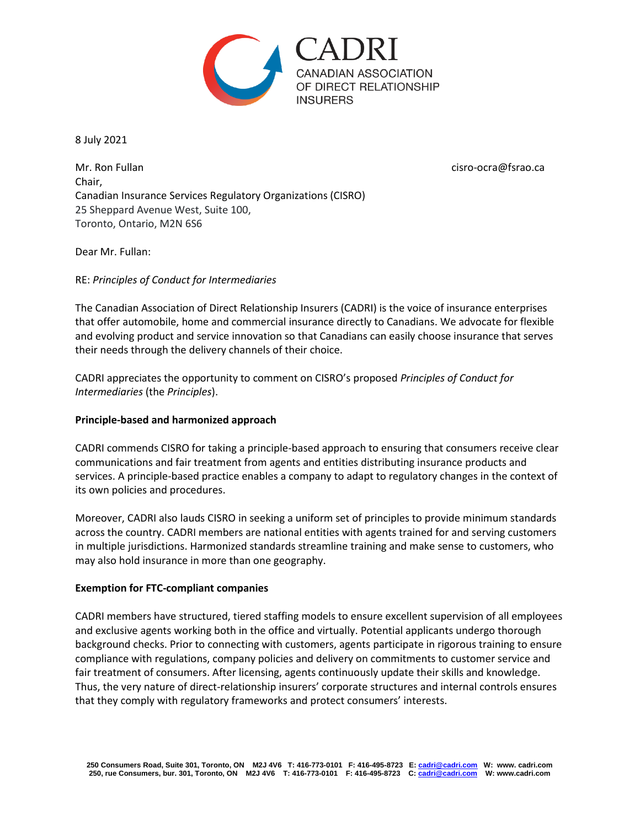

8 July 2021

Mr. Ron Fullan citation and the citation of the citation of the citation of the citation of the citation of the citation of the citation of the citation of the citation of the citation of the citation of the citation of th Chair, Canadian Insurance Services Regulatory Organizations (CISRO) 25 Sheppard Avenue West, Suite 100, Toronto, Ontario, M2N 6S6

Dear Mr. Fullan:

RE: *Principles of Conduct for Intermediaries*

The Canadian Association of Direct Relationship Insurers (CADRI) is the voice of insurance enterprises that offer automobile, home and commercial insurance directly to Canadians. We advocate for flexible and evolving product and service innovation so that Canadians can easily choose insurance that serves their needs through the delivery channels of their choice.

CADRI appreciates the opportunity to comment on CISRO's proposed *Principles of Conduct for Intermediaries* (the *Principles*).

## **Principle-based and harmonized approach**

CADRI commends CISRO for taking a principle-based approach to ensuring that consumers receive clear communications and fair treatment from agents and entities distributing insurance products and services. A principle-based practice enables a company to adapt to regulatory changes in the context of its own policies and procedures.

Moreover, CADRI also lauds CISRO in seeking a uniform set of principles to provide minimum standards across the country. CADRI members are national entities with agents trained for and serving customers in multiple jurisdictions. Harmonized standards streamline training and make sense to customers, who may also hold insurance in more than one geography.

## **Exemption for FTC-compliant companies**

CADRI members have structured, tiered staffing models to ensure excellent supervision of all employees and exclusive agents working both in the office and virtually. Potential applicants undergo thorough background checks. Prior to connecting with customers, agents participate in rigorous training to ensure compliance with regulations, company policies and delivery on commitments to customer service and fair treatment of consumers. After licensing, agents continuously update their skills and knowledge. Thus, the very nature of direct-relationship insurers' corporate structures and internal controls ensures that they comply with regulatory frameworks and protect consumers' interests.

**250 Consumers Road, Suite 301, Toronto, ON M2J 4V6 T: 416-773-0101 F: 416-495-8723 E[: cadri@cadri.com](mailto:cadri@cadri.com) W: www. cadri.com 250, rue Consumers, bur. 301, Toronto, ON M2J 4V6 T: 416-773-0101 F: 416-495-8723 C[: cadri@cadri.com](mailto:cadri@cadri.com) W: www.cadri.com**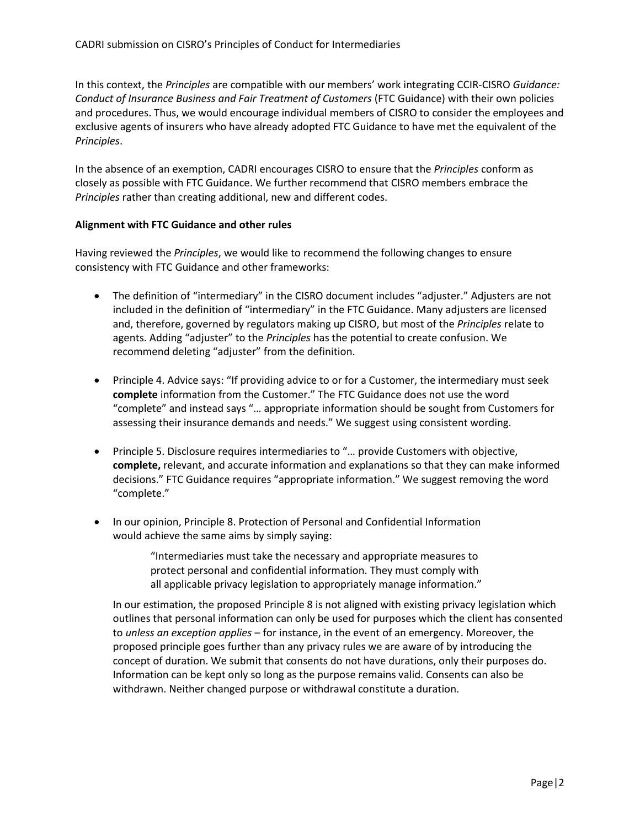In this context, the *Principles* are compatible with our members' work integrating CCIR-CISRO *Guidance: Conduct of Insurance Business and Fair Treatment of Customers* (FTC Guidance) with their own policies and procedures. Thus, we would encourage individual members of CISRO to consider the employees and exclusive agents of insurers who have already adopted FTC Guidance to have met the equivalent of the *Principles*.

In the absence of an exemption, CADRI encourages CISRO to ensure that the *Principles* conform as closely as possible with FTC Guidance. We further recommend that CISRO members embrace the *Principles* rather than creating additional, new and different codes.

## **Alignment with FTC Guidance and other rules**

Having reviewed the *Principles*, we would like to recommend the following changes to ensure consistency with FTC Guidance and other frameworks:

- The definition of "intermediary" in the CISRO document includes "adjuster." Adjusters are not included in the definition of "intermediary" in the FTC Guidance. Many adjusters are licensed and, therefore, governed by regulators making up CISRO, but most of the *Principles* relate to agents. Adding "adjuster" to the *Principles* has the potential to create confusion. We recommend deleting "adjuster" from the definition.
- Principle 4. Advice says: "If providing advice to or for a Customer, the intermediary must seek **complete** information from the Customer." The FTC Guidance does not use the word "complete" and instead says "… appropriate information should be sought from Customers for assessing their insurance demands and needs." We suggest using consistent wording.
- Principle 5. Disclosure requires intermediaries to "… provide Customers with objective, **complete,** relevant, and accurate information and explanations so that they can make informed decisions." FTC Guidance requires "appropriate information." We suggest removing the word "complete."
- In our opinion, Principle 8. Protection of Personal and Confidential Information would achieve the same aims by simply saying:

"Intermediaries must take the necessary and appropriate measures to protect personal and confidential information. They must comply with all applicable privacy legislation to appropriately manage information."

In our estimation, the proposed Principle 8 is not aligned with existing privacy legislation which outlines that personal information can only be used for purposes which the client has consented to *unless an exception applies* – for instance, in the event of an emergency. Moreover, the proposed principle goes further than any privacy rules we are aware of by introducing the concept of duration. We submit that consents do not have durations, only their purposes do. Information can be kept only so long as the purpose remains valid. Consents can also be withdrawn. Neither changed purpose or withdrawal constitute a duration.